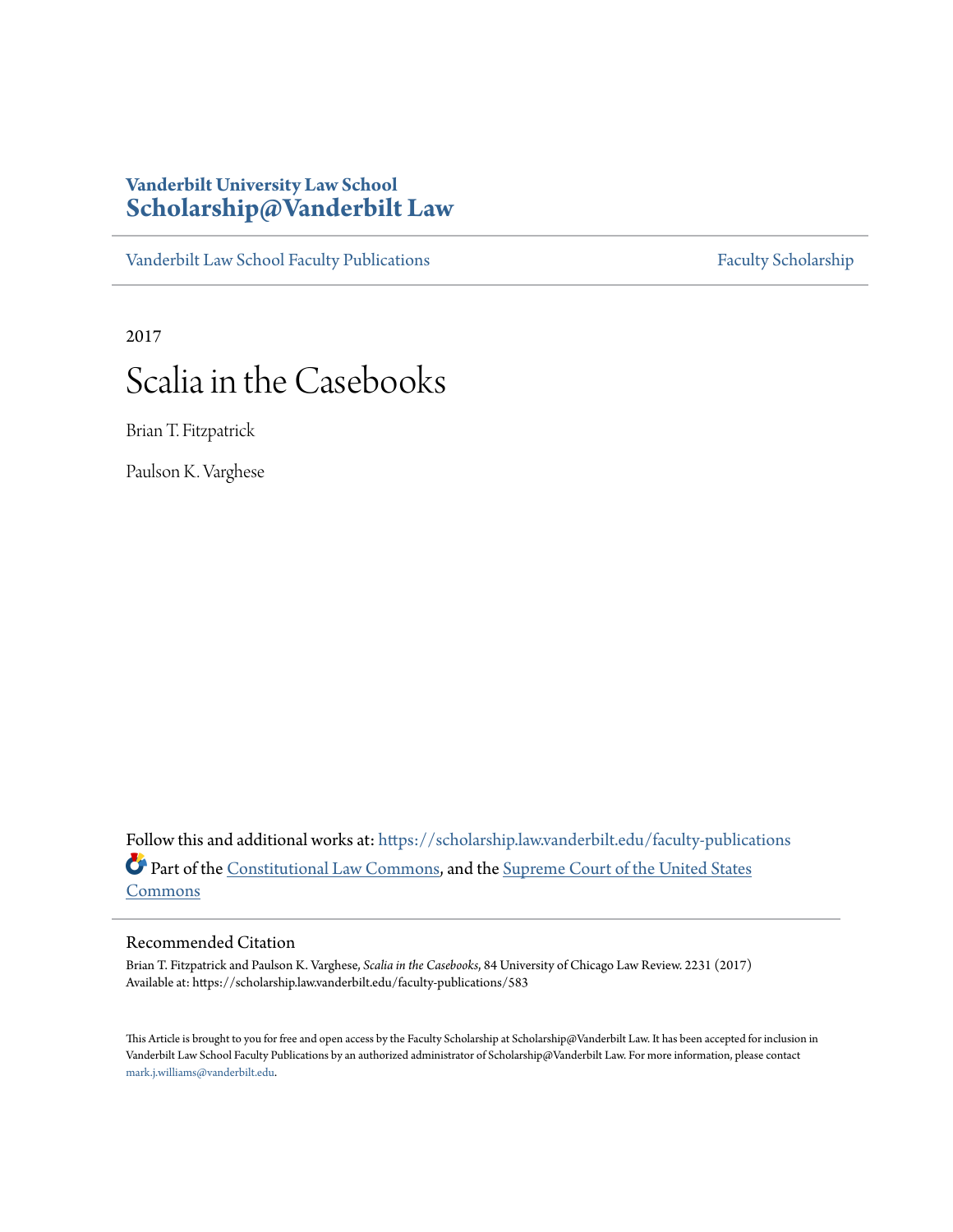### **Vanderbilt University Law School [Scholarship@Vanderbilt Law](https://scholarship.law.vanderbilt.edu?utm_source=scholarship.law.vanderbilt.edu%2Ffaculty-publications%2F583&utm_medium=PDF&utm_campaign=PDFCoverPages)**

[Vanderbilt Law School Faculty Publications](https://scholarship.law.vanderbilt.edu/faculty-publications?utm_source=scholarship.law.vanderbilt.edu%2Ffaculty-publications%2F583&utm_medium=PDF&utm_campaign=PDFCoverPages) [Faculty Scholarship](https://scholarship.law.vanderbilt.edu/faculty-scholarship?utm_source=scholarship.law.vanderbilt.edu%2Ffaculty-publications%2F583&utm_medium=PDF&utm_campaign=PDFCoverPages)

2017

## Scalia in the Casebooks

Brian T. Fitzpatrick

Paulson K. Varghese

Follow this and additional works at: [https://scholarship.law.vanderbilt.edu/faculty-publications](https://scholarship.law.vanderbilt.edu/faculty-publications?utm_source=scholarship.law.vanderbilt.edu%2Ffaculty-publications%2F583&utm_medium=PDF&utm_campaign=PDFCoverPages) Part of the [Constitutional Law Commons,](http://network.bepress.com/hgg/discipline/589?utm_source=scholarship.law.vanderbilt.edu%2Ffaculty-publications%2F583&utm_medium=PDF&utm_campaign=PDFCoverPages) and the [Supreme Court of the United States](http://network.bepress.com/hgg/discipline/1350?utm_source=scholarship.law.vanderbilt.edu%2Ffaculty-publications%2F583&utm_medium=PDF&utm_campaign=PDFCoverPages) [Commons](http://network.bepress.com/hgg/discipline/1350?utm_source=scholarship.law.vanderbilt.edu%2Ffaculty-publications%2F583&utm_medium=PDF&utm_campaign=PDFCoverPages)

#### Recommended Citation

Brian T. Fitzpatrick and Paulson K. Varghese, *Scalia in the Casebooks*, 84 University of Chicago Law Review. 2231 (2017) Available at: https://scholarship.law.vanderbilt.edu/faculty-publications/583

This Article is brought to you for free and open access by the Faculty Scholarship at Scholarship@Vanderbilt Law. It has been accepted for inclusion in Vanderbilt Law School Faculty Publications by an authorized administrator of Scholarship@Vanderbilt Law. For more information, please contact [mark.j.williams@vanderbilt.edu](mailto:mark.j.williams@vanderbilt.edu).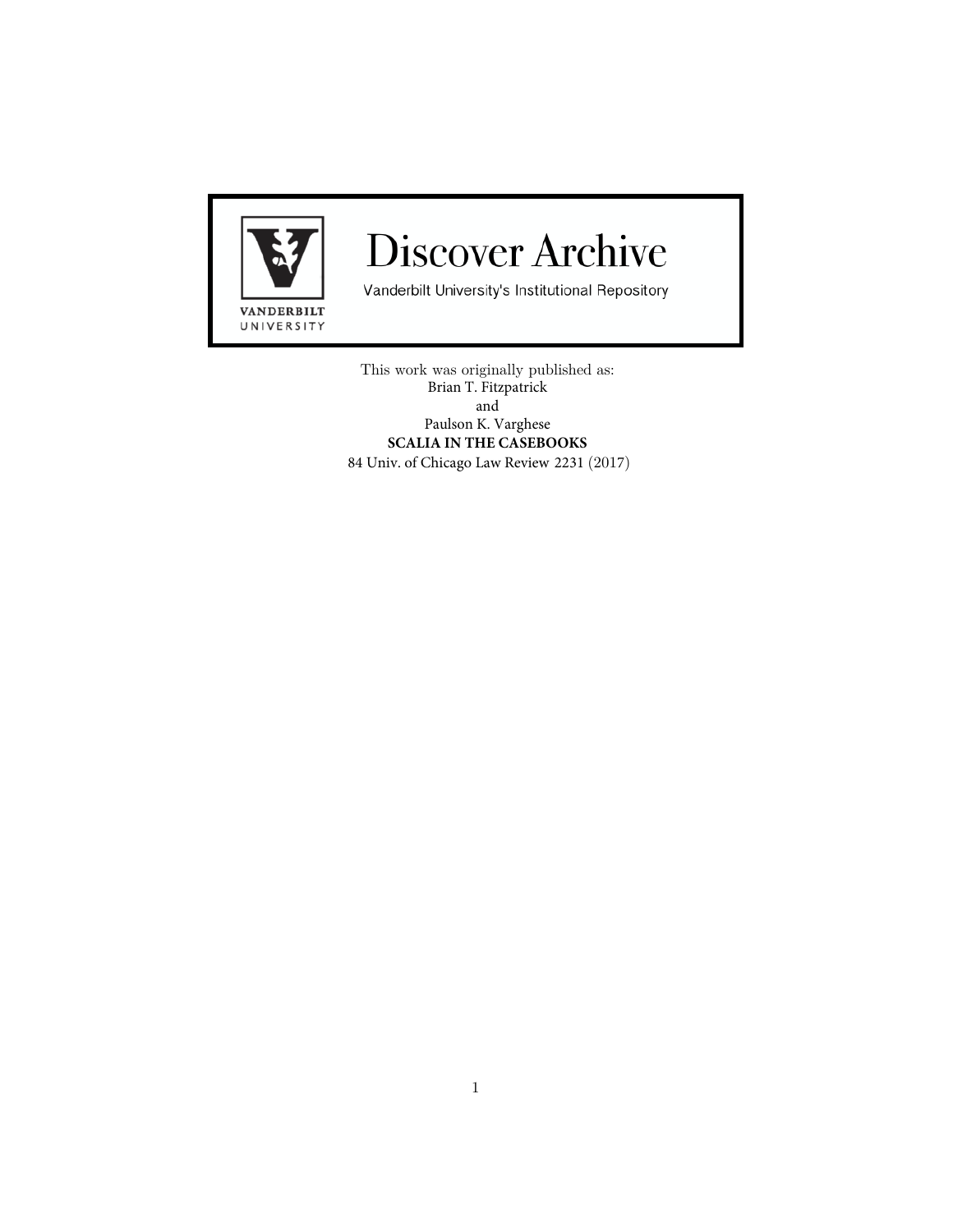

# **Discover Archive**

Vanderbilt University's Institutional Repository

This work was originally published as: Brian T. Fitzpatrick and Paulson K. Varghese **SCALIA IN THE CASEBOOKS** 84 Univ. of Chicago Law Review 2231 (2017)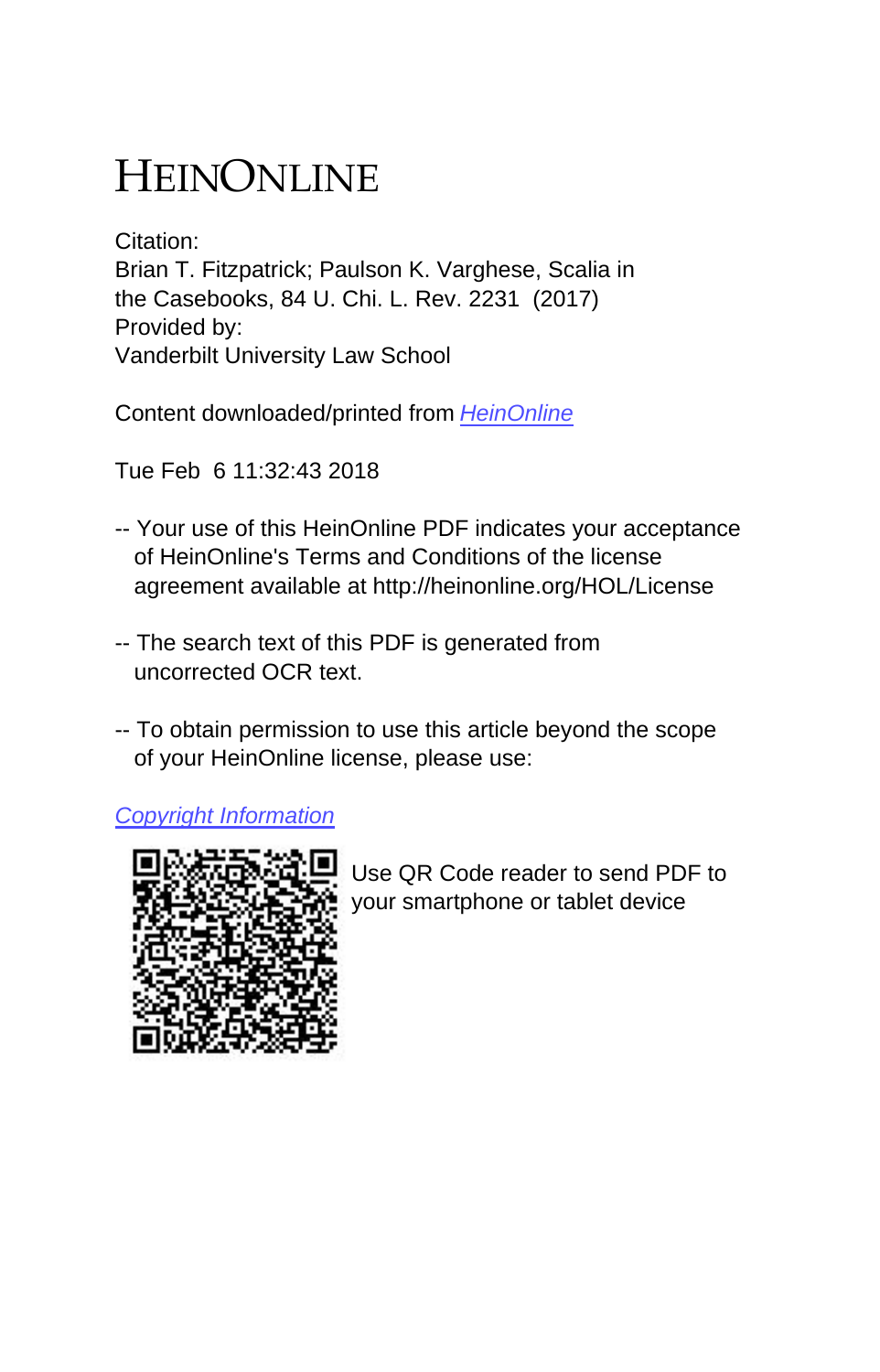# HEINONLINE

Citation: Brian T. Fitzpatrick; Paulson K. Varghese, Scalia in the Casebooks, 84 U. Chi. L. Rev. 2231 (2017) Provided by: Vanderbilt University Law School

Content downloaded/printed from [HeinOnline](http://heinonline.org/HOL/Page?handle=hein.journals/uclr84&collection=journals&id=2263&startid=&endid=2274)

Tue Feb 6 11:32:43 2018

- -- Your use of this HeinOnline PDF indicates your acceptance of HeinOnline's Terms and Conditions of the license agreement available at http://heinonline.org/HOL/License
- -- The search text of this PDF is generated from uncorrected OCR text.
- -- To obtain permission to use this article beyond the scope of your HeinOnline license, please use:

[Copyright Information](https://www.copyright.com/ccc/basicSearch.do?operation=go&searchType=0&lastSearch=simple&all=on&titleOrStdNo=0041-9494)



 Use QR Code reader to send PDF to your smartphone or tablet device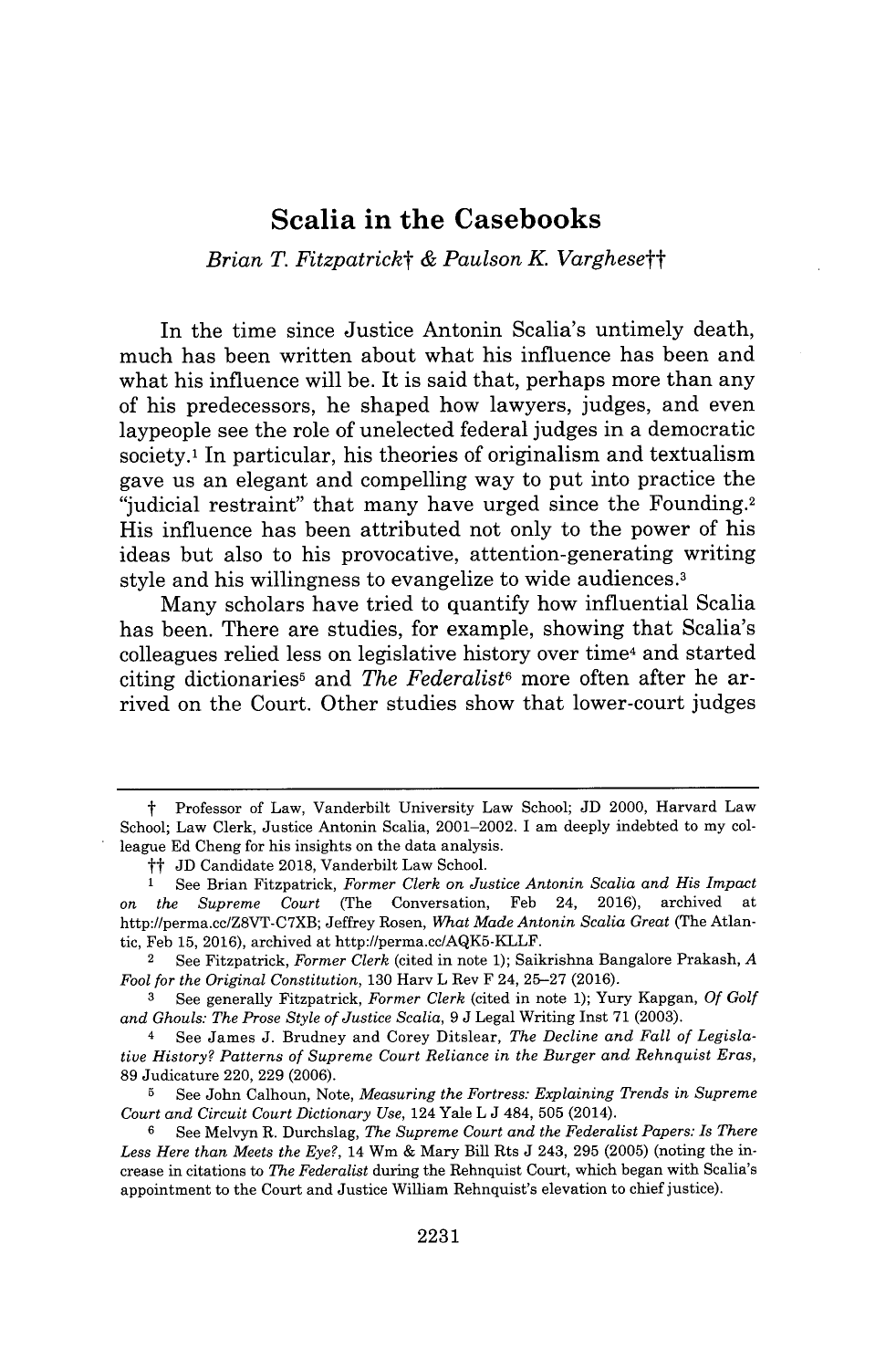### **Scalia in the Casebooks**

#### *Brian T. Fitzpatrickt & Paulson K Varghesett*

In the time since Justice Antonin Scalia's untimely death, much has been written about what his influence has been and what his influence will be. It is said that, perhaps more than any of his predecessors, he shaped how lawyers, judges, and even laypeople see the role of unelected federal judges in a democratic society.<sup>1</sup> In particular, his theories of originalism and textualism gave us an elegant and compelling way to put into practice the "judicial restraint" that many have urged since the Founding.2 His influence has been attributed not only to the power of his ideas but also to his provocative, attention-generating writing style and his willingness to evangelize to wide audiences.<sup>3</sup>

Many scholars have tried to quantify how influential Scalia has been. There are studies, for example, showing that Scalia's colleagues relied less on legislative history over time<sup>4</sup> and started citing dictionaries6 and *The Federalist6* more often after he arrived on the Court. Other studies show that lower-court judges

t Professor of Law, Vanderbilt University Law School; **JD** 2000, Harvard Law School; Law Clerk, Justice Antonin Scalia, 2001-2002. I am deeply indebted to my colleague **Ed** Cheng for his insights on the data analysis.

<sup>&</sup>lt;sup>†</sup>† JD Candidate 2018, Vanderbilt Law School.<br><sup>1</sup> See Brian Fitzpatrick *Former Clerk on Ju* 

**<sup>1</sup>**See Brian Fitzpatrick, *Former Clerk on Justice Antonin Scalia and His Impact* on *the Supreme Court* (The Conversation, Feb 24, **2016),** archived at http://perma.cc/Z8VT-C7XB; Jeffrey Rosen, *What Made Antonin Scalia Great* (The Atlantic, Feb **15, 2016),** archived at http://perma.cc/AQK5-KLLF.

<sup>2</sup> See Fitzpatrick, *Former Clerk* (cited in note **1);** Saikrishna Bangalore Prakash, *A Fool for the Original Constitution,* **130** Harv L Rev F 24, **25-27 (2016).**

**<sup>3</sup>** See generally Fitzpatrick, *Former Clerk* (cited in note **1);** Yury Kapgan, *Of Golf and Ghouls: The Prose Style of Justice Scalia, 9* **J** Legal Writing Inst **71 (2003).**

<sup>4</sup> See James **J.** Brudney and Corey Ditslear, *The Decline and Fall of Legislative History? Patterns of Supreme Court Reliance in the Burger and Rehnquist Eras,* **89** Judicature 220, **229 (2006).**

**<sup>5</sup>** See John Calhoun, Note, *Measuring the Fortress: Explaining Trends in Supreme Court and Circuit Court Dictionary Use,* 124 Yale L **J** 484, **505** (2014).

**<sup>6</sup>**See Melvyn R. Durchslag, *The Supreme Court and the Federalist Papers: Is There Less Here than Meets the Eye?,* 14 Wm **&** Mary Bill Rts **J** 243, **295 (2005)** (noting the increase in citations to *The Federalist* during the Rehnquist Court, which began with Scalia's appointment to the Court and Justice William Rehnquist's elevation to chief justice).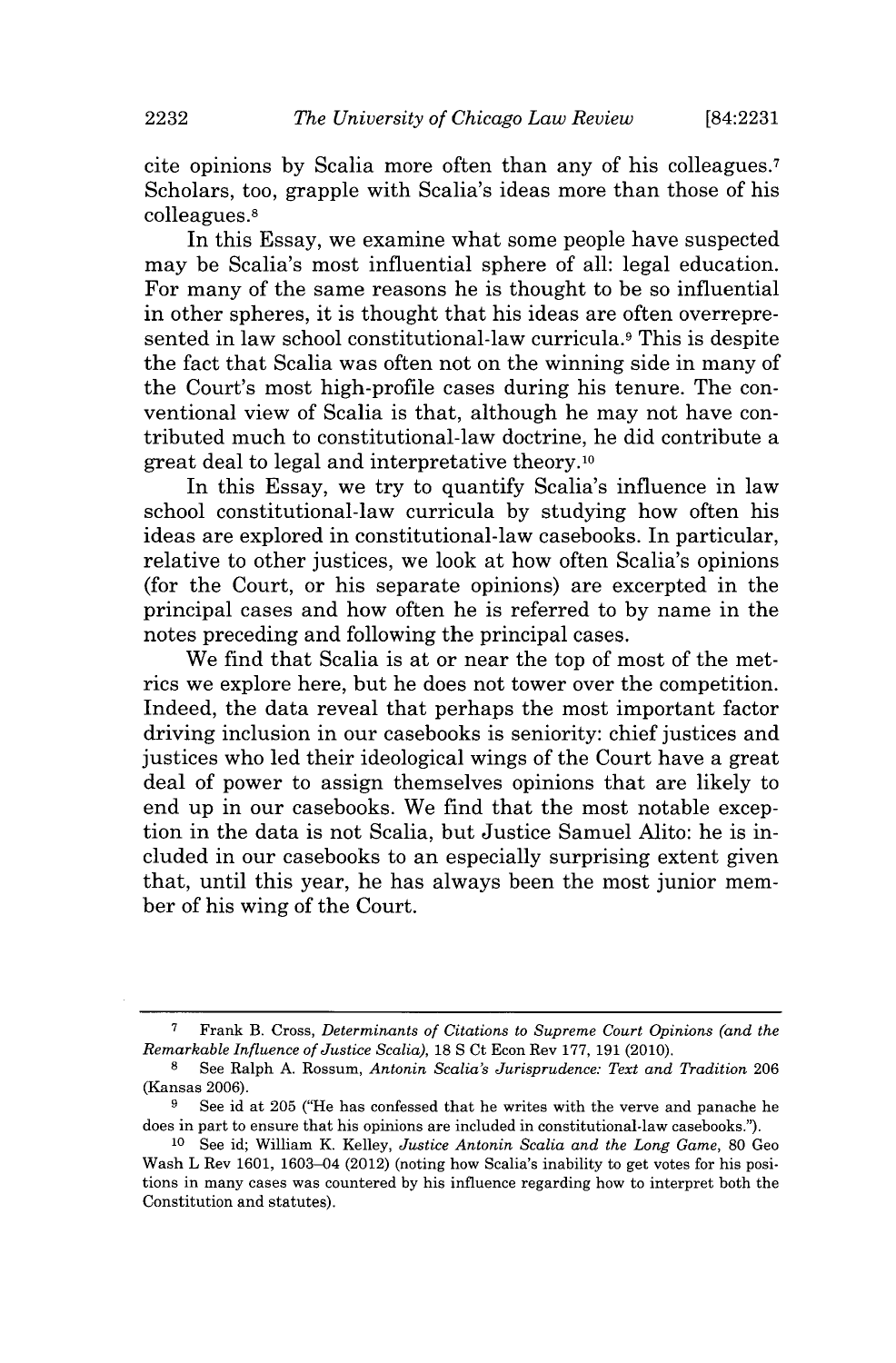cite opinions **by** Scalia more often than any of his colleagues.7 Scholars, too, grapple with Scalia's ideas more than those of his colleagues.8

In this Essay, we examine what some people have suspected may be Scalia's most influential sphere of all: legal education. For many of the same reasons he is thought to be so influential in other spheres, it is thought that his ideas are often overrepresented in law school constitutional-law curricula.9 This is despite the fact that Scalia was often not on the winning side in many of the Court's most high-profile cases during his tenure. The conventional view of Scalia is that, although he may not have contributed much to constitutional-law doctrine, he did contribute a great deal to legal and interpretative theory.10

In this Essay, we try to quantify Scalia's influence in law school constitutional-law curricula **by** studying how often his ideas are explored in constitutional-law casebooks. In particular, relative to other justices, we look at how often Scalia's opinions (for the Court, or his separate opinions) are excerpted in the principal cases and how often he is referred to **by** name in the notes preceding and following the principal cases.

We find that Scalia is at or near the top of most of the metrics we explore here, but he does not tower over the competition. Indeed, the data reveal that perhaps the most important factor driving inclusion in our casebooks is seniority: chief justices and justices who led their ideological wings of the Court have a great deal of power to assign themselves opinions that are likely to end up in our casebooks. We find that the most notable exception in the data is not Scalia, but Justice Samuel Alito: he is included in our casebooks to an especially surprising extent given that, until this year, he has always been the most junior member of his wing of the Court.

**<sup>7</sup>** Frank B. Cross, *Determinants of Citations to Supreme Court Opinions (and the Remarkable Influence of Justice Scalia), 18* **S** Ct Econ Rev **177, 191** (2010).

**<sup>8</sup>**See Ralph **A.** Rossum, *Antonin Scalia's Jurisprudence: Text and Tradition* **206** (Kansas **2006).**

**<sup>9</sup>** See id at **205** ("He has confessed that he writes with the verve and panache he does in part to ensure that his opinions are included in constitutional-law casebooks.").

**<sup>10</sup>**See id; William K. Kelley, *Justice Antonin Scalia and the Long Game,* **80** Geo Wash L Rev **1601,** 1603-04 (2012) (noting how Scalia's inability to get votes for his positions in many cases was countered **by** his influence regarding how to interpret both the Constitution and statutes).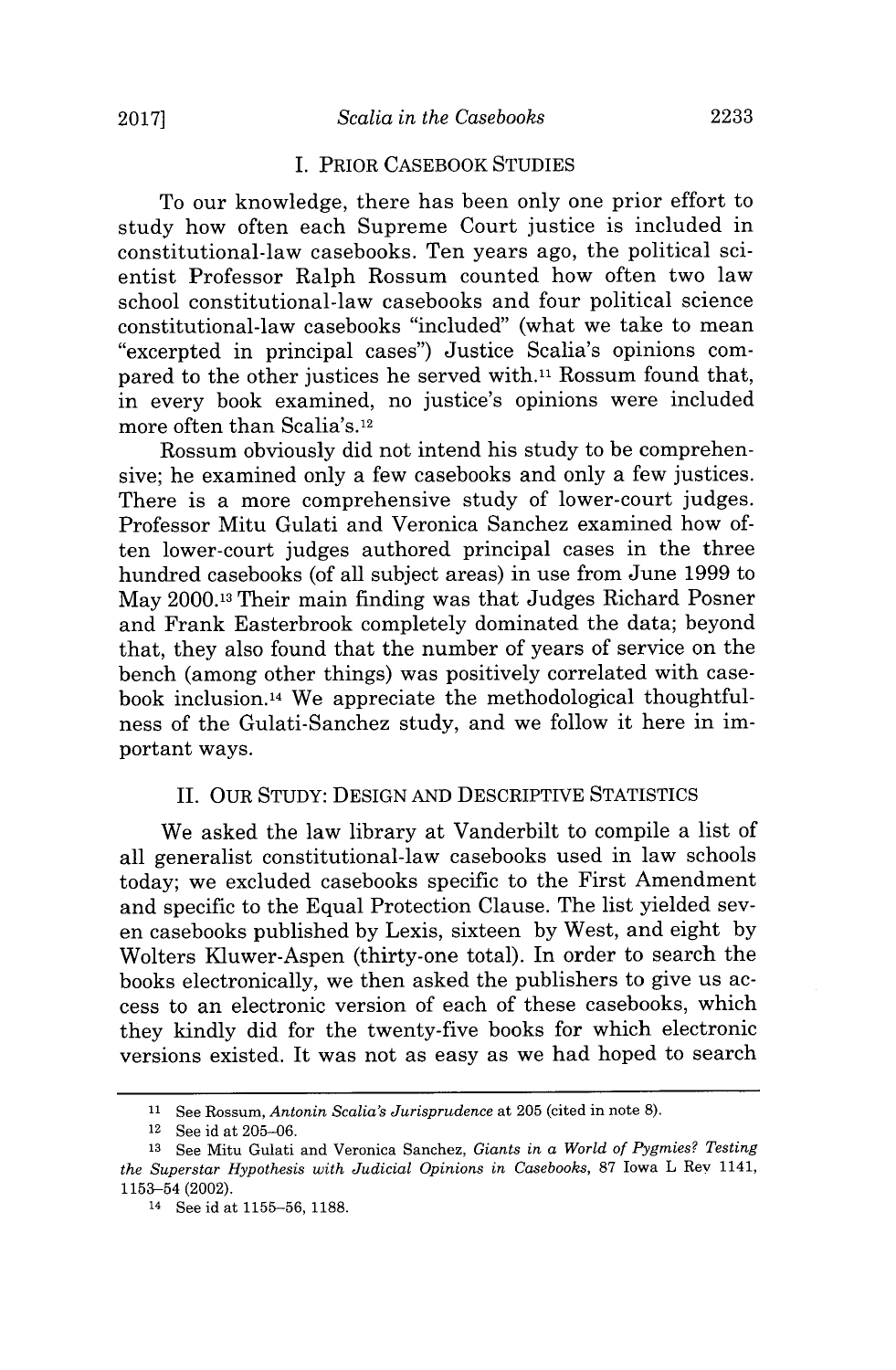#### I. PRIOR **CASEBOOK STUDIES**

To our knowledge, there has been only one prior effort to study how often each Supreme Court justice is included in constitutional-law casebooks. Ten years ago, the political scientist Professor Ralph Rossum counted how often two law school constitutional-law casebooks and four political science constitutional-law casebooks "included" (what we take to mean "excerpted in principal cases") Justice Scalia's opinions compared to the other justices he served with.11 Rossum found that, in every book examined, no justice's opinions were included more often than Scalia's.12

Rossum obviously did not intend his study to be comprehensive; he examined only a few casebooks and only a few justices. There is a more comprehensive study of lower-court judges. Professor Mitu Gulati and Veronica Sanchez examined how often lower-court judges authored principal cases in the three hundred casebooks (of all subject areas) in use from June **1999** to May 2000.13 Their main finding was that Judges Richard Posner and Frank Easterbrook completely dominated the data; beyond that, they also found that the number of years of service on the bench (among other things) was positively correlated with casebook inclusion.14 We appreciate the methodological thoughtfulness of the Gulati-Sanchez study, and we follow it here in important ways.

#### **II.** OUR **STUDY:** DESIGN **AND** DESCRIPTIVE **STATISTICS**

We asked the law library at Vanderbilt to compile a list of all generalist constitutional-law casebooks used in law schools today; we excluded casebooks specific to the First Amendment and specific to the Equal Protection Clause. The list yielded seven casebooks published **by** Lexis, sixteen **by** West, and eight **by** Wolters Kluwer-Aspen (thirty-one total). In order to search the books electronically, we then asked the publishers to give us access to an electronic version of each of these casebooks, which they kindly did for the twenty-five books for which electronic versions existed. It was not as easy as we had hoped to search

**<sup>11</sup>**See Rossum, *Antonin Scalia's Jurisprudence at* **205** (cited in note **8).**

**<sup>12</sup>**See id at **205-06.**

**<sup>13</sup>**See Mitu Gulati and Veronica Sanchez, *Giants in a World of Pygmies? Testing the Superstar Hypothesis with Judicial Opinions in Casebooks,* **87** Iowa L Rev 1141, **1153-54** (2002).

**<sup>14</sup>**See id at **1155-56, 1188.**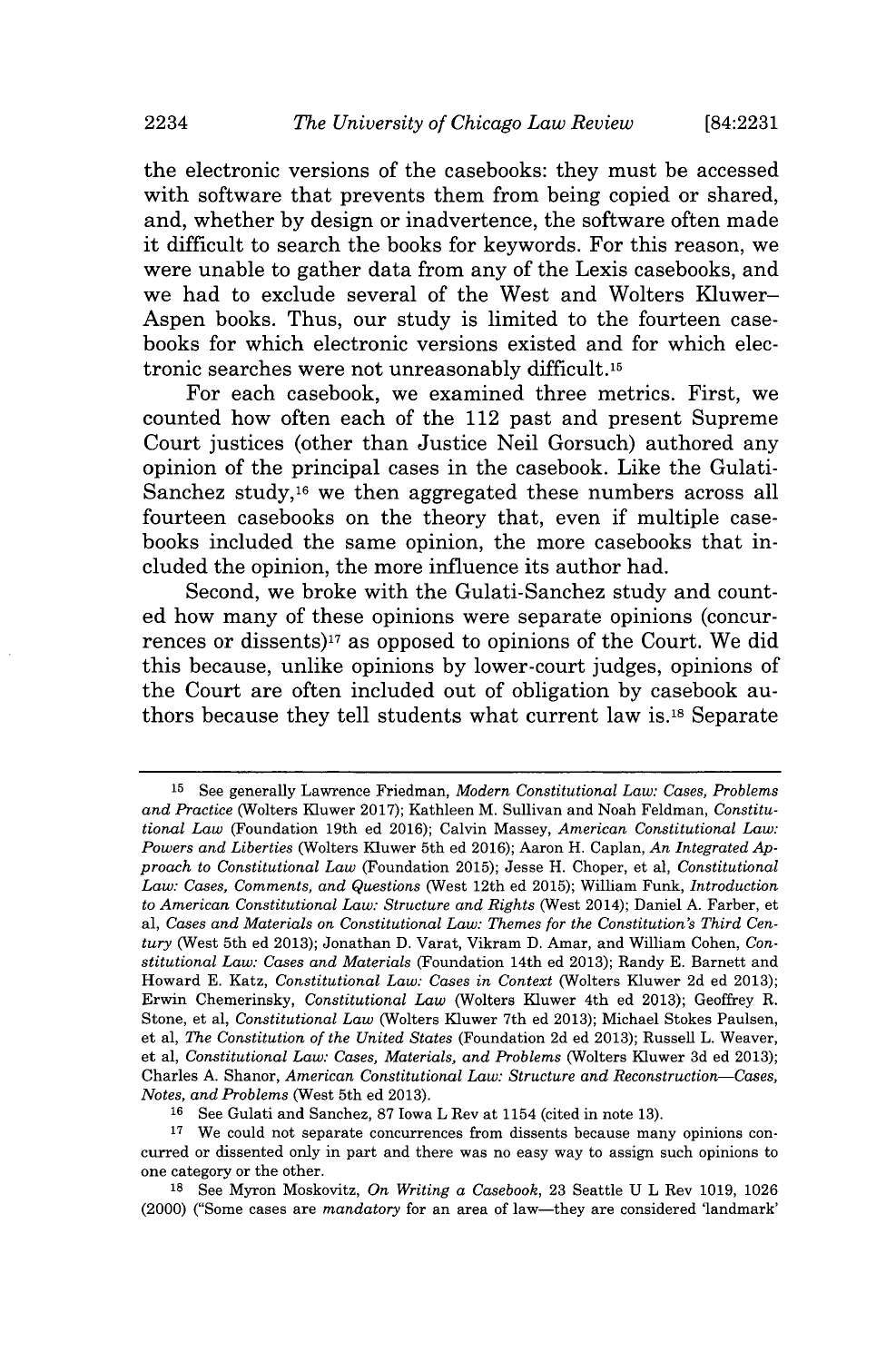the electronic versions of the casebooks: they must be accessed with software that prevents them from being copied or shared, and, whether **by** design or inadvertence, the software often made it difficult to search the books for keywords. For this reason, we were unable to gather data from any of the Lexis casebooks, and we had to exclude several of the West and Wolters Kluwer-Aspen books. Thus, our study is limited to the fourteen casebooks for which electronic versions existed and for which electronic searches were not unreasonably difficult.16

For each casebook, we examined three metrics. First, we counted how often each of the 112 past and present Supreme Court justices (other than Justice Neil Gorsuch) authored any opinion of the principal cases in the casebook. Like the Gulati-Sanchez study,16 we then aggregated these numbers across all fourteen casebooks on the theory that, even if multiple casebooks included the same opinion, the more casebooks that included the opinion, the more influence its author had.

Second, we broke with the Gulati-Sanchez study and counted how many of these opinions were separate opinions (concurrences or dissents)17 as opposed to opinions of the Court. We did this because, unlike opinions **by** lower-court judges, opinions of the Court are often included out of obligation **by** casebook authors because they tell students what current law **is.18** Separate

**<sup>15</sup>**See generally Lawrence Friedman, *Modern Constitutional Law: Cases, Problems and Practice* (Wolters Kluwer **2017);** Kathleen M. Sullivan and Noah Feldman, *Constitutional Law* (Foundation 19th ed **2016);** Calvin Massey, *American Constitutional Law: Powers and Liberties* (Wolters Kluwer 5th ed **2016);** Aaron H. Caplan, *An Integrated Approach to Constitutional Law* (Foundation **2015);** Jesse H. Choper, et al, *Constitutional Law: Cases, Comments, and Questions* (West 12th ed **2015);** William Funk, *Introduction to American Constitutional Law: Structure and Rights* (West 2014); Daniel **A.** Farber, et *al, Cases and Materials on Constitutional Law: Themes for the Constitution's Third Century* (West 5th ed **2013);** Jonathan **D.** Varat, Vikram **D.** Amar, and William Cohen, *Constitutional Law: Cases and Materials* (Foundation 14th ed **2013);** Randy **E.** Barnett and Howard **E.** Katz, *Constitutional Law: Cases in Context* (Wolters Kluwer **2d** ed **2013);** Erwin Chemerinsky, *Constitutional Law* (Wolters Kluwer 4th ed **2013);** Geoffrey R. Stone, et al, *Constitutional Law* (Wolters Kluwer 7th ed **2013);** Michael Stokes Paulsen, et al, *The Constitution of the United States* (Foundation **2d** ed **2013);** Russell L. Weaver, et al, *Constitutional Law: Cases, Materials, and Problems* (Wolters Kluwer **3d** ed **2013);** Charles **A.** Shanor, *American Constitutional Law: Structure and Reconstruction-Cases, Notes, and Problems* (West 5th ed **2013).**

**<sup>16</sup>**See Gulati and Sanchez, **87** Iowa L Rev at 1154 (cited in note **13).**

**<sup>17</sup>** We could not separate concurrences from dissents because many opinions concurred or dissented only in part and there was no easy way *to* assign such opinions to one category or the other.

**<sup>18</sup>**See Myron Moskovitz, *On Writing a Casebook,* **23** Seattle **U** L Rev **1019, 1026** (2000) ("Some cases are *mandatory* for an area of law-they are considered 'landmark'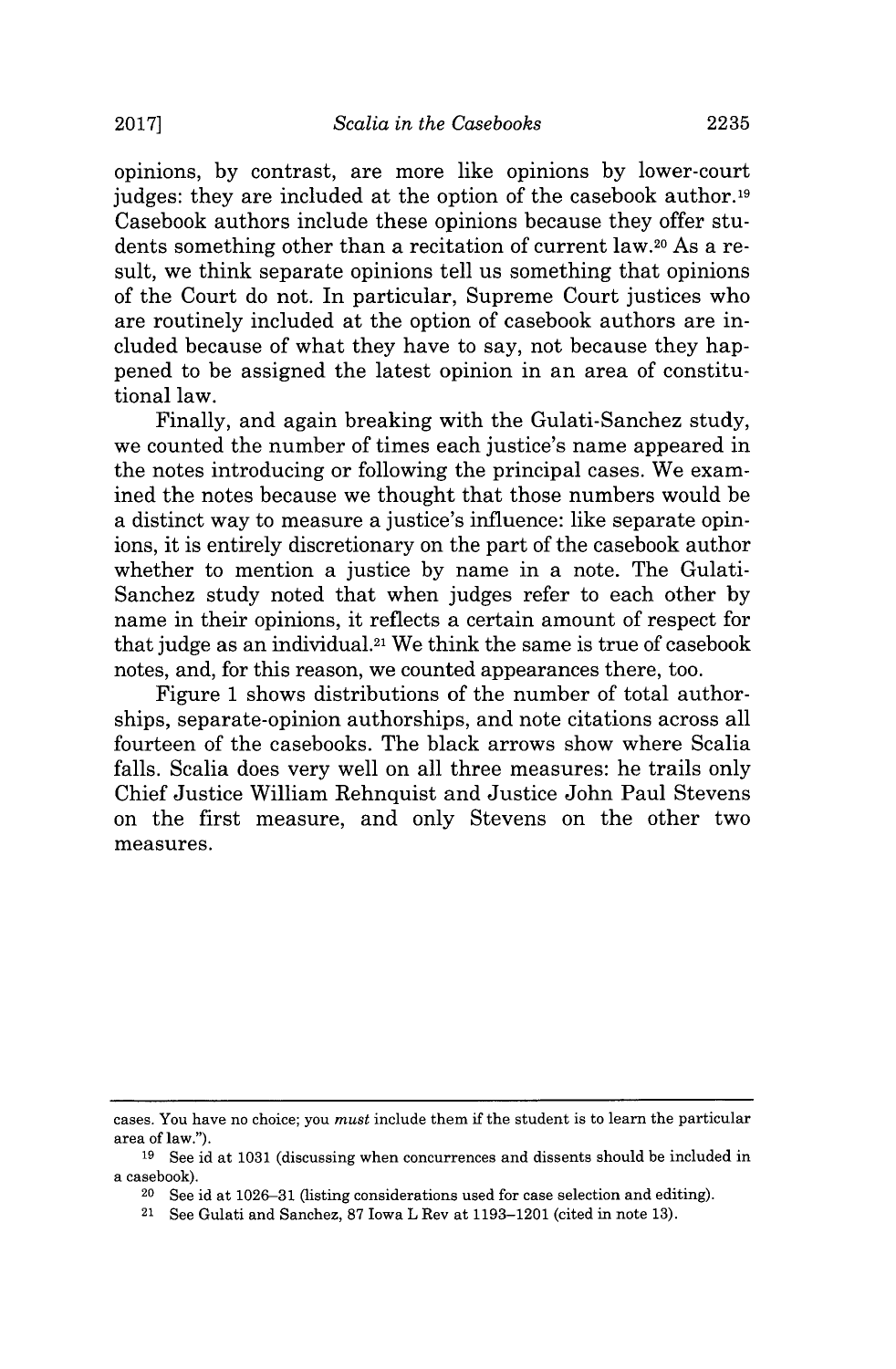opinions, **by** contrast, are more like opinions **by** lower-court judges: they are included at the option of the casebook author.<sup>19</sup> Casebook authors include these opinions because they offer students something other than a recitation of current law.20 As a result, we think separate opinions tell us something that opinions of the Court do not. In particular, Supreme Court justices who are routinely included at the option of casebook authors are included because of what they have to say, not because they happened to be assigned the latest opinion in an area of constitutional law.

Finally, and again breaking with the Gulati-Sanchez study, we counted the number of times each justice's name appeared in the notes introducing or following the principal cases. We examined the notes because we thought that those numbers would be a distinct way to measure a justice's influence: like separate opinions, it is entirely discretionary on the part of the casebook author whether to mention a justice **by** name in a note. The Gulati-Sanchez study noted that when judges refer to each other **by** name in their opinions, it reflects a certain amount of respect for that judge as an individual.21 We think the same is true of casebook notes, and, for this reason, we counted appearances there, too.

Figure 1 shows distributions of the number of total authorships, separate-opinion authorships, and note citations across all fourteen of the casebooks. The black arrows show where Scalia falls. Scalia does very well on all three measures: he trails only Chief Justice William Rehnquist and Justice John Paul Stevens on the first measure, and only Stevens on the other two measures.

cases. You have no choice; you *must* include them if the student is to learn the particular area of law.").

**<sup>19</sup>**See id at **1031** (discussing when concurrences and dissents should be included in a casebook).

**<sup>20</sup>**See id at **1026-31** (listing considerations used for case selection and editing).

**<sup>21</sup>** See Gulati and Sanchez, **87** Iowa L Rev at **1193-1201** (cited in note **13).**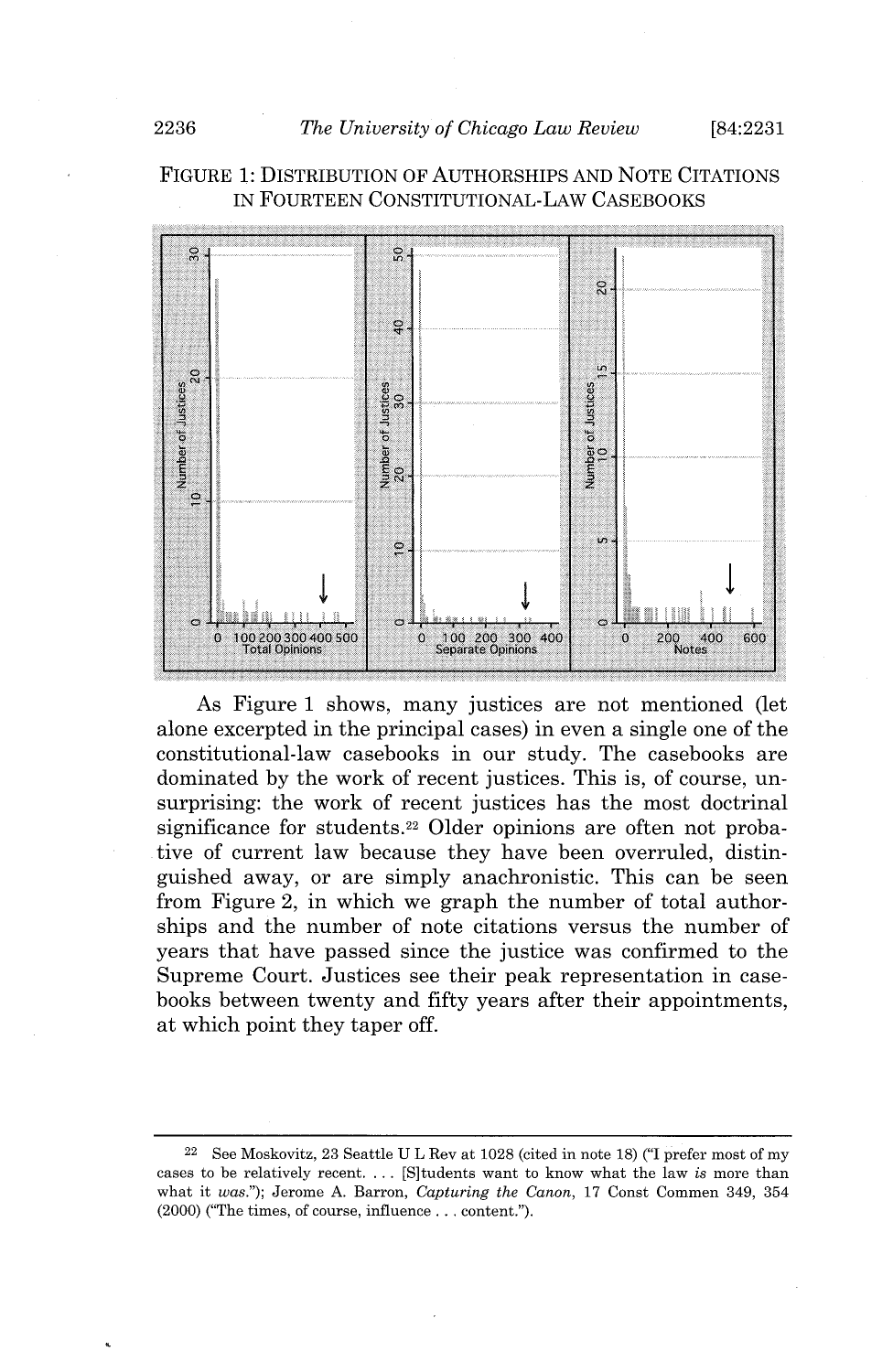#### **FIGURE 1: DISTRIBUTION** OF **AUTHORSHIPS AND NOTE** CITATIONS IN **FOURTEEN** CONSTITUTIONAL-LAW **CASEBOOKS**



As Figure **1** shows, many justices are not mentioned (let alone excerpted in the principal cases) in even a single one of the constitutional-law casebooks in our study. The casebooks are dominated **by** the work of recent justices. This is, of course, unsurprising: the work of recent justices has the most doctrinal significance for students.<sup>22</sup> Older opinions are often not probative of current law because they have been overruled, distinguished away, or are simply anachronistic. This can be seen from Figure 2, in which we graph the number of total authorships and the number of note citations versus the number of years that have passed since the justice was confirmed to the Supreme Court. Justices see their peak representation in casebooks between twenty and **fifty** years after their appointments, at which point they taper off.

<sup>22</sup>See Moskovitz, **23** Seattle **U** L Rev at **1028** (cited in note **18) ("I** prefer most of my cases to be relatively recent. **. . .** [S]tudents want to know what the law *is* more than what it *was.");* Jerome **A.** Barron, *Capturing the Canon,* **17** Const Commen 349, 354 (2000) ("The times, of course, influence **...** content.").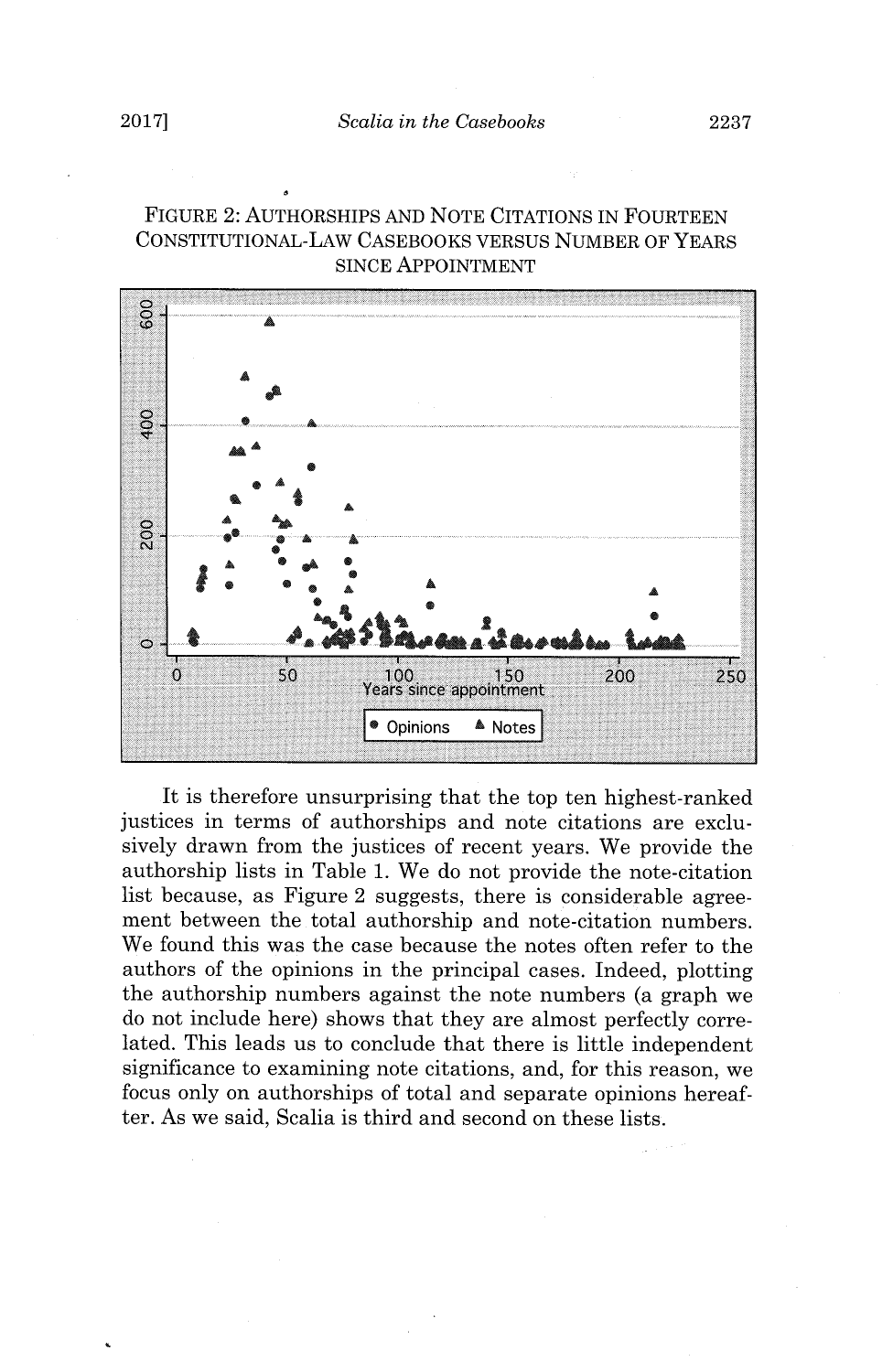#### **FIGURE** 2: **AUTHORSHIPS AND NOTE CITATIONS IN** FOURTEEN CONSTITUTIONAL-LAW **CASEBOOKS** VERSUS **NUMBER** OF YEARS **SINCE** APPOINTMENT



It is therefore unsurprising that the top ten highest-ranked justices in terms of authorships and note citations are exclusively drawn from the justices of recent years. We provide the authorship lists in Table **1.** We do not provide the note-citation list because, as Figure 2 suggests, there is considerable agreement between the total authorship and note-citation numbers. We found this was the case because the notes often refer to the authors of the opinions in the principal cases. Indeed, plotting the authorship numbers against the note numbers (a graph we do not include here) shows that they are almost perfectly correlated. This leads us to conclude that there is little independent significance to examining note citations, and, for this reason, we focus only on authorships of total and separate opinions hereafter. As we said, Scalia is third and second on these lists.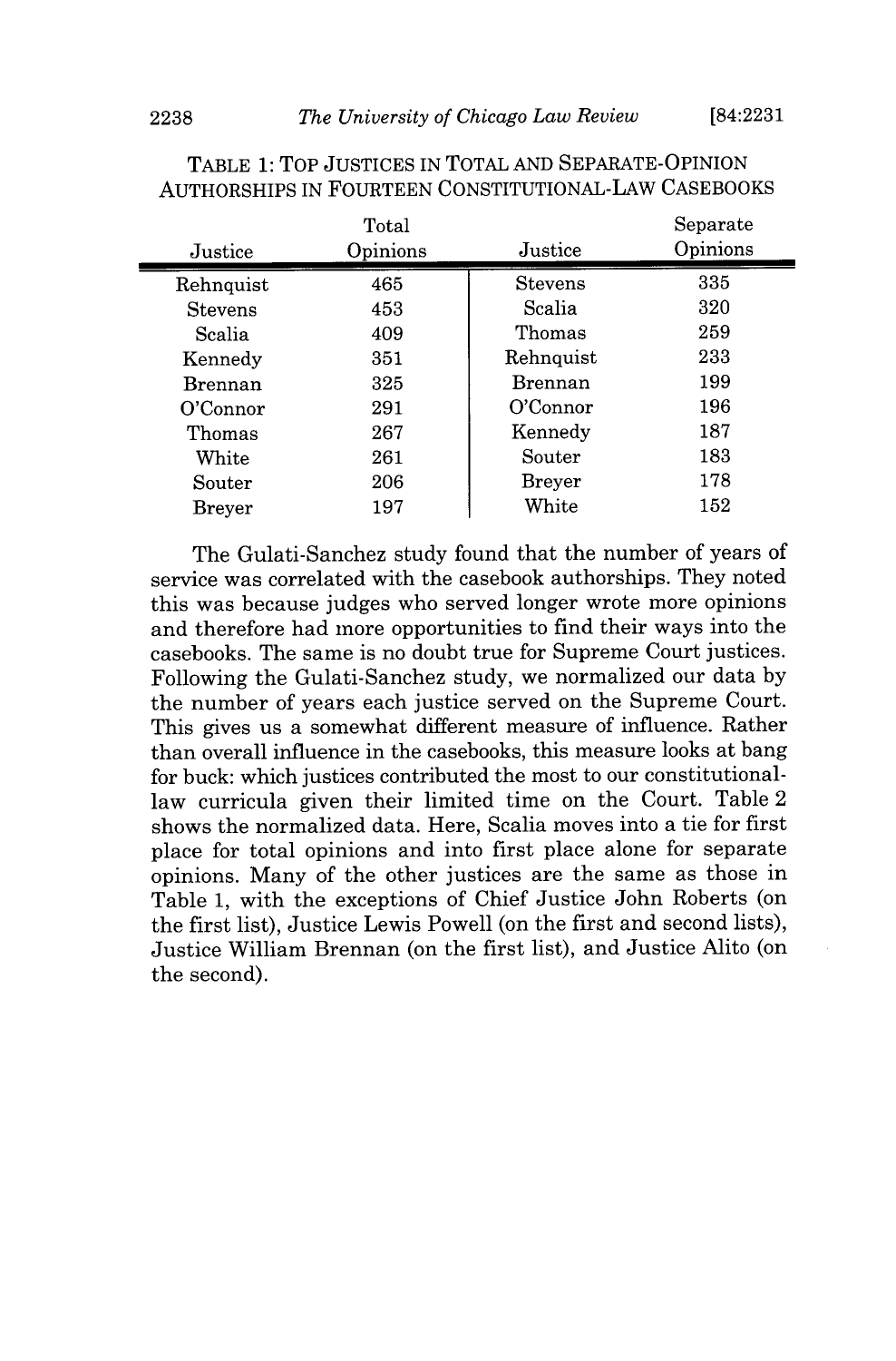|                | Total    |                | Separate |
|----------------|----------|----------------|----------|
| Justice        | Opinions | Justice        | Opinions |
| Rehnquist      | 465      | <b>Stevens</b> | 335      |
| <b>Stevens</b> | 453      | Scalia         | 320      |
| Scalia         | 409      | Thomas         | 259      |
| Kennedy        | 351      | Rehnquist      | 233      |
| <b>Brennan</b> | 325      | <b>Brennan</b> | 199      |
| O'Connor       | 291      | O'Connor       | 196      |
| Thomas         | 267      | Kennedy        | 187      |
| White          | 261      | Souter         | 183      |
| Souter         | 206      | Breyer         | 178      |
| <b>Breyer</b>  | 197      | White          | 152      |

TABLE **1:** TOP **JUSTICES** IN TOTAL **AND SEPARATE-OPINION AUTHORSHIPS** IN FOURTEEN CONSTITUTIONAL-LAW **CASEBOOKS**

The Gulati-Sanchez study found that the number of years of service was correlated with the casebook authorships. They noted this was because judges who served longer wrote more opinions and therefore had more opportunities to find their ways into the casebooks. The same is no doubt true for Supreme Court justices. Following the Gulati-Sanchez study, we normalized our data **by** the number of years each justice served on the Supreme Court. This gives us a somewhat different measure of influence. Rather than overall influence in the casebooks, this measure looks at bang for buck: which justices contributed the most to our constitutionallaw curricula given their limited time on the Court. Table 2 shows the normalized data. Here, Scalia moves into a tie for first place for total opinions and into first place alone for separate opinions. Many of the other justices are the same as those in Table **1,** with the exceptions of Chief Justice John Roberts (on the first list), Justice Lewis Powell (on the first and second lists), Justice William Brennan (on the first list), and Justice Alito (on the second).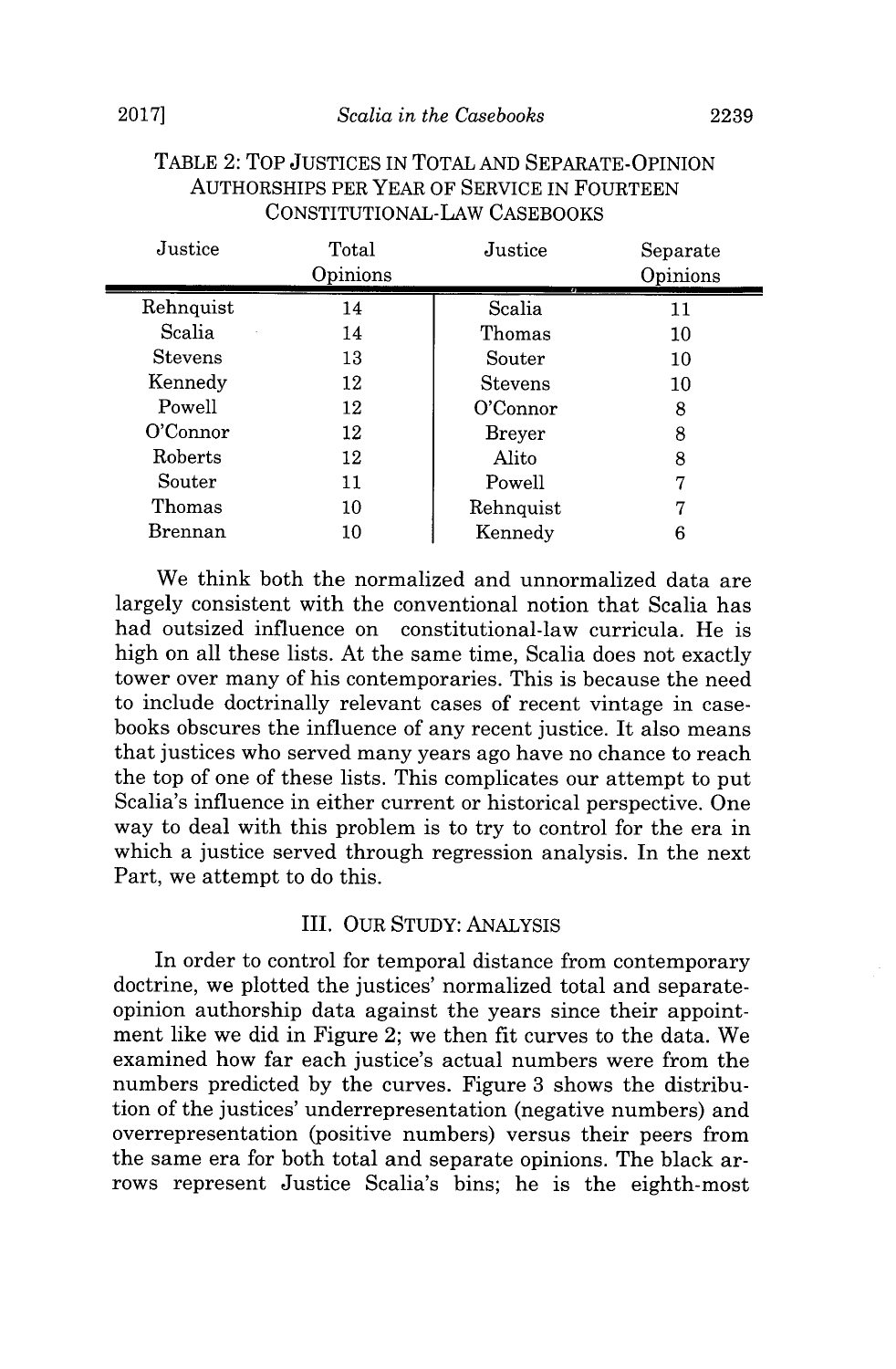| Justice        | Total<br>Opinions | Justice        | Separate<br>Opinions |
|----------------|-------------------|----------------|----------------------|
| Rehnquist      | 14                | Scalia         | 11                   |
| Scalia         | 14                | Thomas         | 10                   |
| <b>Stevens</b> | 13                | Souter         | 10                   |
| Kennedy        | 12                | <b>Stevens</b> | 10                   |
| Powell         | 12                | O'Connor       | 8                    |
| O'Connor       | 12                | <b>Breyer</b>  | 8                    |
| Roberts        | 12                | Alito          | 8                    |
| Souter         | $11\,$            | Powell         |                      |
| Thomas         | 10                | Rehnquist      |                      |
| Brennan        | 10                | Kennedy        | 6                    |

#### TABLE 2: TOP **JUSTICES** IN TOTAL **AND** SEPARATE-OPINION AUTHORSHIPS PER YEAR OF SERVICE **IN FOURTEEN** CONSTITUTIONAL-LAW **CASEBOOKS**

We think both the normalized and unnormalized data are largely consistent with the conventional notion that Scalia has had outsized influence on constitutional-law curricula. He is high on all these lists. At the same time, Scalia does not exactly tower over many of his contemporaries. This is because the need to include doctrinally relevant cases of recent vintage in casebooks obscures the influence of any recent justice. It also means that justices who served many years ago have no chance to reach the top of one of these lists. This complicates our attempt to put Scalia's influence in either current or historical perspective. One way to deal with this problem is to try to control for the era in which a justice served through regression analysis. In the next Part, we attempt to do this.

#### III. OUR **STUDY: ANALYSIS**

In order to control for temporal distance from contemporary doctrine, we plotted the justices' normalized total and separateopinion authorship data against the years since their appointment like we did in Figure 2; we then fit curves to the data. We examined how far each justice's actual numbers were from the numbers predicted **by** the curves. Figure **3** shows the distribution of the justices' underrepresentation (negative numbers) and overrepresentation (positive numbers) versus their peers from the same era for both total and separate opinions. The black arrows represent Justice Scalia's bins; he is the eighth-most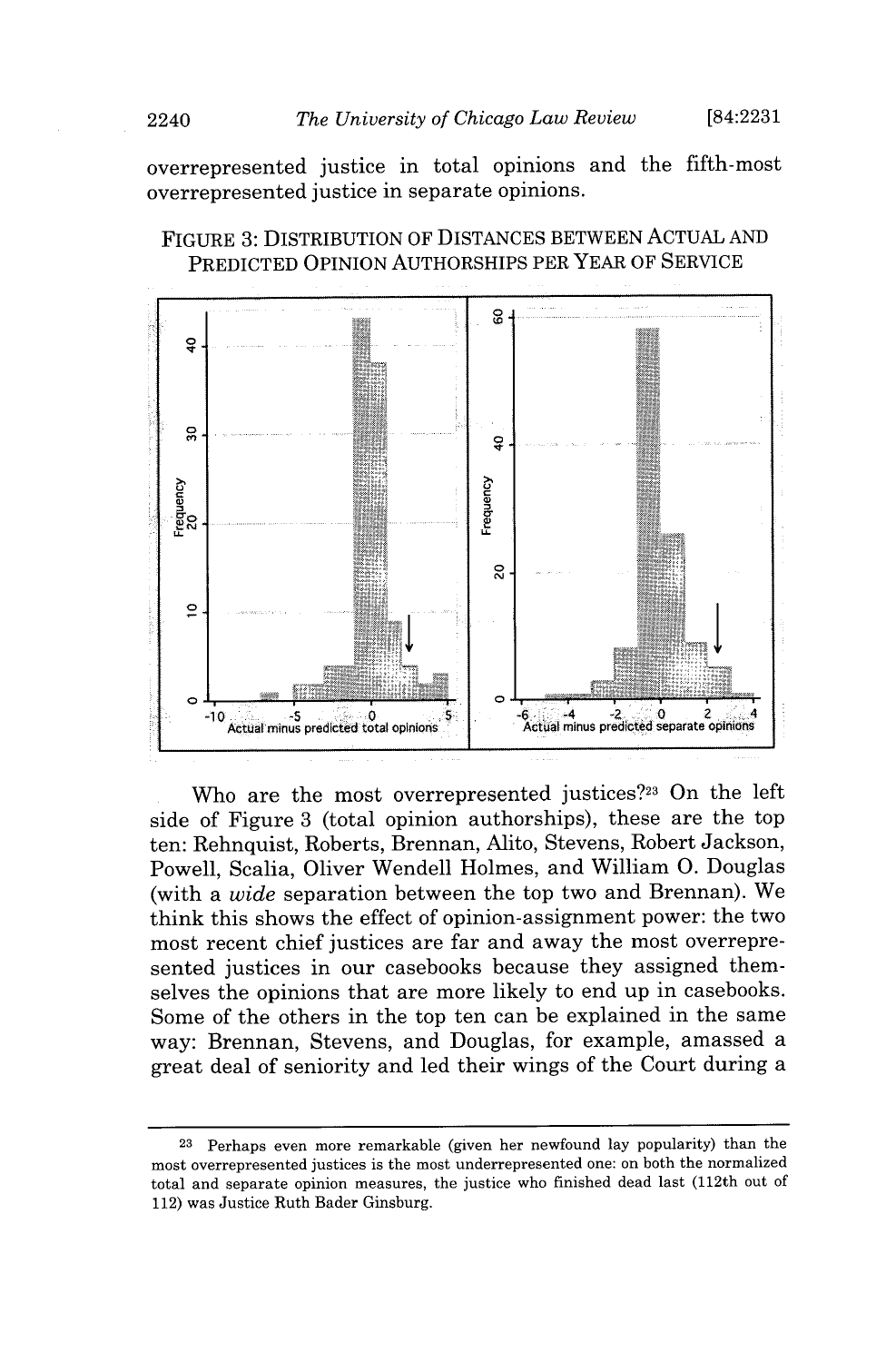overrepresented justice in total opinions and the fifth-most overrepresented justice in separate opinions.





Who are the most overrepresented justices?<sup>23</sup> On the left side of Figure **3** (total opinion authorships), these are the top ten: Rehnquist, Roberts, Brennan, Alito, Stevens, Robert Jackson, Powell, Scalia, Oliver Wendell Holmes, and William **0.** Douglas (with a *wide* separation between the top two and Brennan). We think this shows the effect of opinion-assignment power: the two most recent chief justices are far and away the most overrepresented justices in our casebooks because they assigned themselves the opinions that are more likely to end up in casebooks. Some of the others in the top ten can be explained in the same way: Brennan, Stevens, and Douglas, for example, amassed a great deal of seniority and led their wings of the Court during a

**<sup>23</sup>**Perhaps even more remarkable (given her newfound lay popularity) than the most overrepresented justices is the most underrepresented one: on both the normalized total and separate opinion measures, the justice who finished dead last (112th out of 112) was Justice Ruth Bader Ginsburg.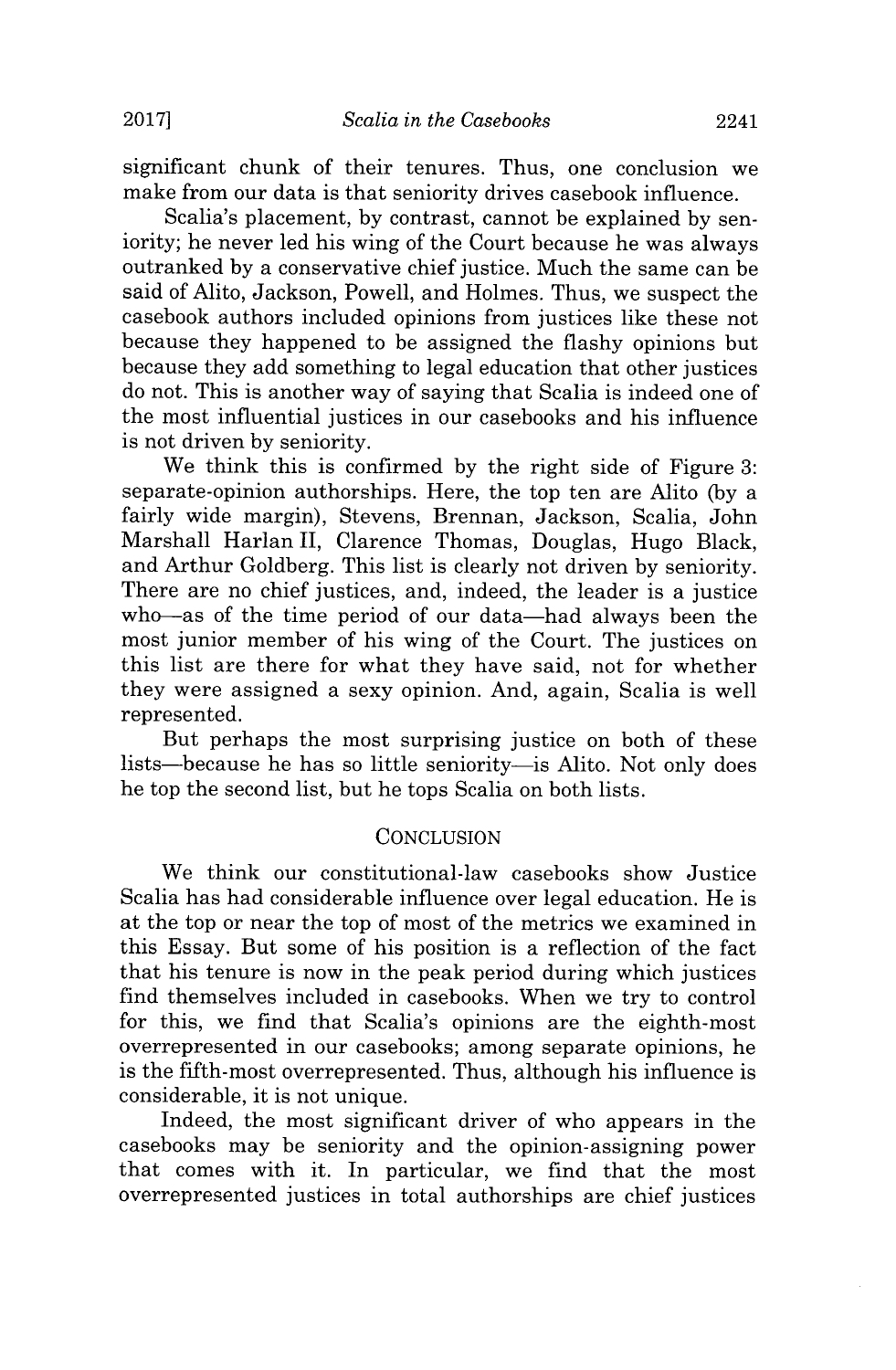significant chunk of their tenures. Thus, one conclusion we make from our data is that seniority drives casebook influence.

Scalia's placement, **by** contrast, cannot be explained **by** seniority; he never led his wing of the Court because he was always outranked **by** a conservative chief justice. Much the same can be said of Alito, Jackson, Powell, and Holmes. Thus, we suspect the casebook authors included opinions from justices like these not because they happened to be assigned the flashy opinions but because they add something to legal education that other justices do not. This is another way of saying that Scalia is indeed one of the most influential justices in our casebooks and his influence is not driven **by** seniority.

We think this is confirmed **by** the right side of Figure **3:** separate-opinion authorships. Here, the top ten are Alito **(by** a fairly wide margin), Stevens, Brennan, Jackson, Scalia, John Marshall Harlan **II,** Clarence Thomas, Douglas, Hugo Black, and Arthur Goldberg. This list is clearly not driven **by** seniority. There are no chief justices, and, indeed, the leader is a justice who-as of the time period of our data-had always been the most junior member of his wing of the Court. The justices on this list are there for what they have said, not for whether they were assigned a sexy opinion. And, again, Scalia is well represented.

But perhaps the most surprising justice on both of these lists—because he has so little seniority—is Alito. Not only does he top the second list, but he tops Scalia on both lists.

#### **CONCLUSION**

We think our constitutional-law casebooks show Justice Scalia has had considerable influence over legal education. He is at the top or near the top of most of the metrics we examined in this Essay. But some of his position is a reflection of the fact that his tenure is now in the peak period during which justices find themselves included in casebooks. When we try to control for this, we find that Scalia's opinions are the eighth-most overrepresented in our casebooks; among separate opinions, he is the fifth-most overrepresented. Thus, although his influence is considerable, it is not unique.

Indeed, the most significant driver of who appears in the casebooks may be seniority and the opinion-assigning power that comes with it. In particular, we find that the most overrepresented justices in total authorships are chief justices